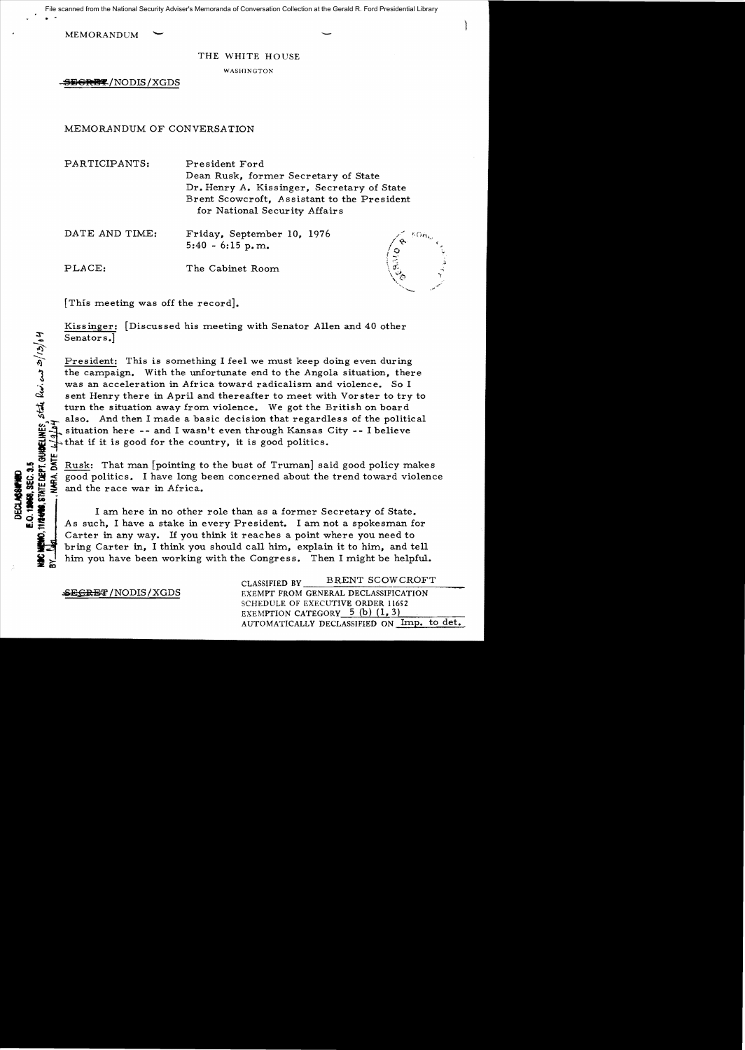· File scanned from the National Security Adviser's Memoranda of Conversation Collection at the Gerald R. Ford Presidential Library

MEMORANDUM  $\sim$ 

## THE WHITE HOUSE

WASHINGTON

~~@RH~/NODffi/XGDS

## MEMORANDUM OF CONVERSATION

PARTICIPANTS: President Ford Dean Rusk, former Secretary of State Dr. Henry *A.* Kissinger, Secretary of State Brent Scowcroft, Assistant to the President for National Security Affairs

DATE AND TIME: Friday, September 10, 1976  $5:40 - 6:15 \text{ p.m.}$ 

PLACE: The Cabinet Room



[This meeting was off the record].

 $\tilde{\mathcal{Q}}$  .

**3UBELINE**S, ST<br>TE 4/9/44

Kissinger: [Discussed his meeting with Senator Allen and 40 other Senators.

President: This is something I feel we must keep doing even during the campaign. With the unfortunate end to the Angola situation, there was an acceleration in Africa toward radicalism and violence. So I sent Henry there in April and thereafter to meet with Vorster to try to turn the situation away from violence. We got the British on board also. And then I made a basic decision that regardless of the political situation here -- and I wasn't even through Kansas City -- I believe

that if it is good for the country, it is good politics.<br> $\frac{\mu}{5}$  Rusk: That man [pointing to the bust of Truman] sa "'? ...: ~ Rusk: That man [pointing to the bust of Truman] said good policy make s .., 0.. or the race war in Africa.<br>  $\begin{pmatrix}\n\mathbf{a} & \mathbf{b} & \mathbf{c} \\
\mathbf{c} & \mathbf{d} & \mathbf{d} \\
\mathbf{d} & \mathbf{d} & \mathbf{e}\n\end{pmatrix}$  and the race war in Africa.<br>  $\begin{pmatrix}\n\mathbf{a} & \mathbf{c} \\
\mathbf{a} & \mathbf{c} \\
\mathbf{c} & \mathbf{d} \\
\mathbf{e} & \mathbf{e}\n\end{pmatrix}$  am here in no

As such, I have a stake in every President. I am not a spokesman for Carter in any way. If you think it reaches a point where you need to bring Carter in, I think you should call him, explain it to him, and tell him you have been working with the Congress. Then I might be helpful.

CLASSIFIED BY \_\_\_\_\_BRENT\_SCOWCROFT **~SECRET/NODIS/XGDS** EXEMPT FROM GENERAL DECLASSIFICATION SCHEDULE OF EXECUTIVE ORDER 11652 EXEMPTION CATEGORY  $-5$  (b)  $(1, 3)$ AUTOMATICALLY DECLASSIFIED ON Imp. to det.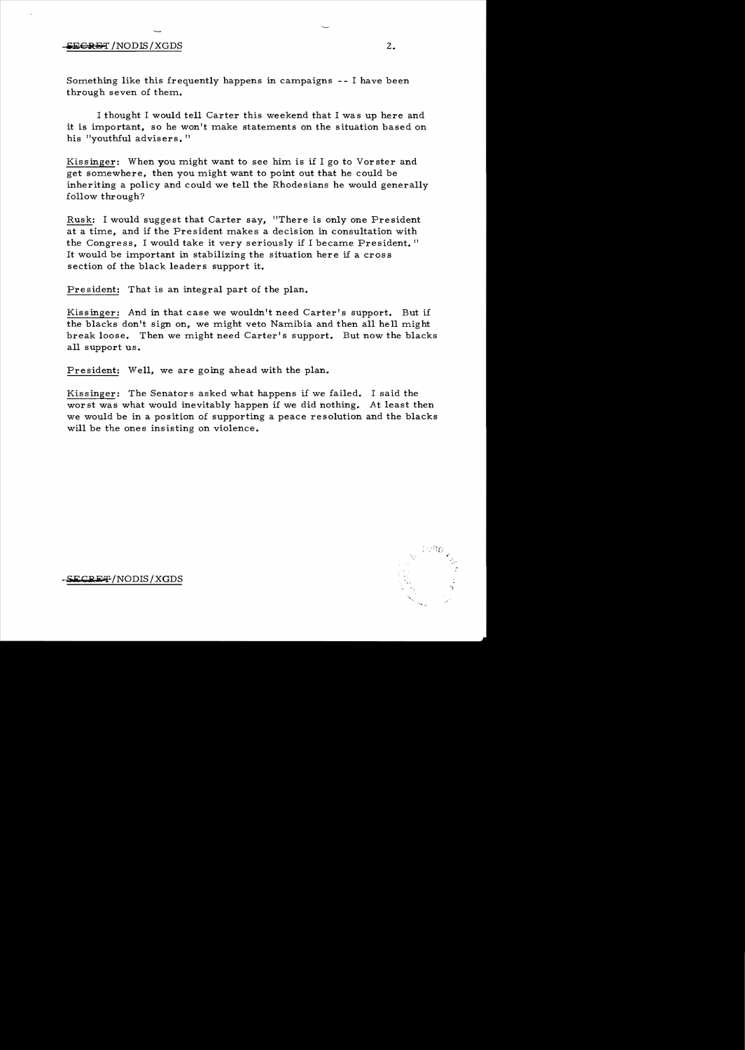## $\epsilon$ RGRET /NODIS/XGDS 2.

Something like this frequently happens in campaigns - - I have been through seven of them.

I thought I would tell Carter this weekend that I was up here and it is important, so he won't make statements on the situation based on his "youthful advisers."

Kissinger: When you might want to see him is if I go to Vorster and get somewhere, then you might want to point out that he could be inheriting a policy and could we tell the Rhodesians he would generally follow through?

Rusk: I would suggest that Carter say, "There is only one President at a time, and if the President makes a decision in consultation with the Congress, I would take it very seriously if I became President." It would be important in stabilizing the situation here if a cross section of the black leaders support it.

President: That is an integral part of the plan.

Kissinger: And in that case we wouldn't need Carter's support. But if the blacks don't sign on, we might veto Namibia and then all hell might break loose. Then we might need Carter's support. But now the blacks all support us.

President: Well, we are going ahead with the plan.

Kissinger: The Senators asked what happens if we failed. I said the worst was what would inevitably happen if we did nothing. At least then we would be in a position of supporting a peace resolution and the blacks will be the ones insisting on violence.

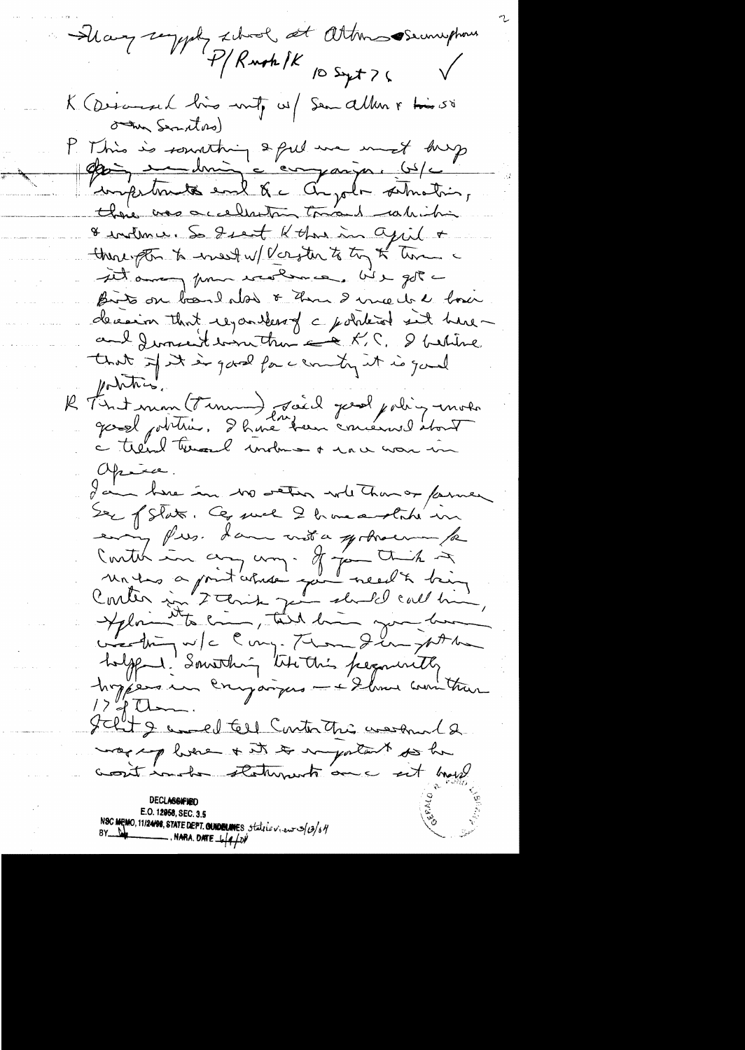- Sharp saying school at attendes emphase P/Rush IK 10 Sept 76 K (Descenard line unt, vi) Sen allen & times om Secretars) P. Mino is sounting a put une mest dup & indemne. So I sent K than in april + there to enest w/ Verster to try of time a til among from weakence, We got a Birts on band also & them I we do de boxer decision that regarders of c political sit haveau 2 Juncent bonnettra = A.C. I betiline that if it is good for centry it is good pointing. R Fint mon (Finnen) Joil great polity moto a trend termed underman o mar war in Opina. I am have in wo weten whether or fame Ser of State. Ce quel 2 home a state un enny fres. I am not a german for Contes in any un a from this 2<br>antis in 2 this point well & being<br>Contes in 2 this point about call him, holffend: Something the this perguintly hoppers un companyers - + Show won't tran  $1290 -$ Jelit & amed tell Continthe washind 2 more plus a statement au constant E.O. 12958, SEC. 3.5 190 MEMO, 11/24/98, STATE DEPT. QUIDEUNES, Statile view 3/03/6/1  $\overline{\phantom{a}}$ . NARA. DATE  $\frac{1}{4}$   $\frac{1}{4}$   $\frac{1}{2}$